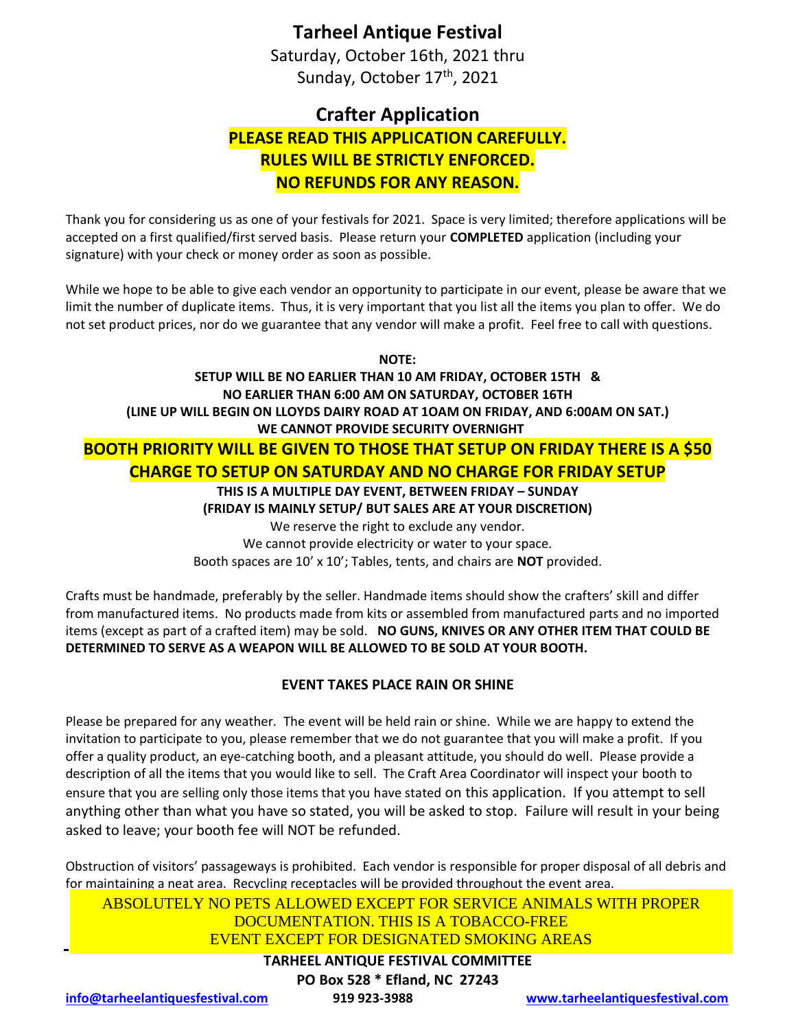## **Tarheel Antique Festival**

Saturday, October 16th, 2021 thru Sunday, October 17<sup>th</sup>, 2021

# **Crafter Application PLEASE READ THIS APPLICATION CAREFULLY. RULES WILL BE STRICTLY ENFORCED. NO REFUNDS FOR ANY REASON.**

Thank you for considering us as one of your festivals for 2021. Space is very limited; therefore applications will be accepted on a first qualified/first served basis. Please return your **COMPLETED** application (including your signature) with your check or money order as soon as possible.

While we hope to be able to give each vendor an opportunity to participate in our event, please be aware that we limit the number of duplicate items. Thus, it is very important that you list all the items you plan to offer. We do not set product prices, nor do we guarantee that any vendor will make a profit. Feel free to call with questions.

**NOTE:**

**SETUP WILL BE NO EARLIER THAN 10 AM FRIDAY, OCTOBER 15TH & NO EARLIER THAN 6:00 AM ON SATURDAY, OCTOBER 16TH (LINE UP WILL BEGIN ON LLOYDS DAIRY ROAD AT 1OAM ON FRIDAY, AND 6:00AM ON SAT.) WE CANNOT PROVIDE SECURITY OVERNIGHT BOOTH PRIORITY WILL BE GIVEN TO THOSE THAT SETUP ON FRIDAY THERE IS A \$50 CHARGE TO SETUP ON SATURDAY AND NO CHARGE FOR FRIDAY SETUP THIS IS A MULTIPLE DAY EVENT, BETWEEN FRIDAY – SUNDAY (FRIDAY IS MAINLY SETUP/ BUT SALES ARE AT YOUR DISCRETION)**  We reserve the right to exclude any vendor. We cannot provide electricity or water to your space. Booth spaces are 10' x 10'; Tables, tents, and chairs are **NOT** provided.

Crafts must be handmade, preferably by the seller. Handmade items should show the crafters' skill and differ from manufactured items. No products made from kits or assembled from manufactured parts and no imported items (except as part of a crafted item) may be sold. **NO GUNS, KNIVES OR ANY OTHER ITEM THAT COULD BE DETERMINED TO SERVE AS A WEAPON WILL BE ALLOWED TO BE SOLD AT YOUR BOOTH.**

### **EVENT TAKES PLACE RAIN OR SHINE**

Please be prepared for any weather. The event will be held rain or shine. While we are happy to extend the invitation to participate to you, please remember that we do not guarantee that you will make a profit. If you offer a quality product, an eye-catching booth, and a pleasant attitude, you should do well. Please provide a description of all the items that you would like to sell. The Craft Area Coordinator will inspect your booth to ensure that you are selling only those items that you have stated on this application. If you attempt to sell anything other than what you have so stated, you will be asked to stop. Failure will result in your being asked to leave; your booth fee will NOT be refunded.

Obstruction of visitors' passageways is prohibited. Each vendor is responsible for proper disposal of all debris and for maintaining a neat area. Recycling receptacles will be provided throughout the event area.

ABSOLUTELY NO PETS ALLOWED EXCEPT FOR SERVICE ANIMALS WITH PROPER DOCUMENTATION. THIS IS A TOBACCO-FREE EVENT EXCEPT FOR DESIGNATED SMOKING AREAS

## **TARHEEL ANTIQUE FESTIVAL COMMITTEE**

#### **PO Box 528 \* Efland, NC 27243**